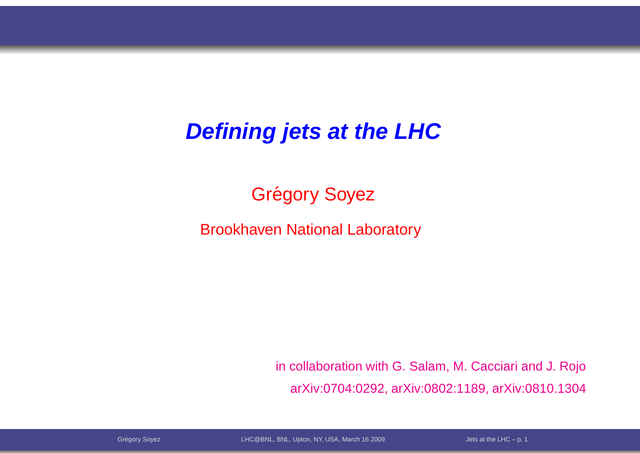#### **Defining jets at the LHC**

## Grégory Soyez

Brookhaven National Laboratory

in collaboration with G. Salam, M. Cacciari and J. RojoarXiv:0704:0292, arXiv:0802:1189, arXiv:0810.1304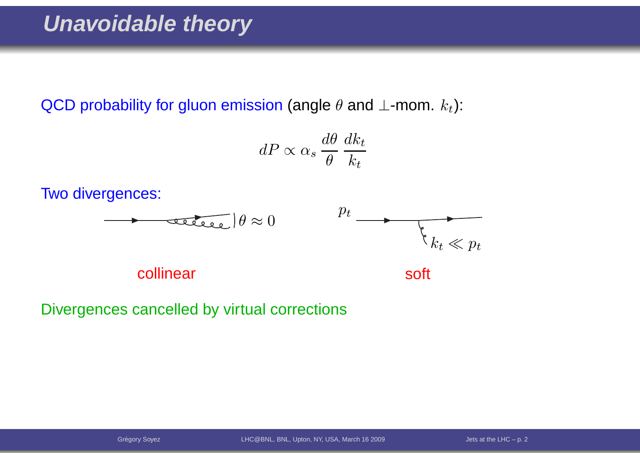QCD probability for gluon emission (angle  $\theta$  and  $\bot$ -mom.  $k_t$ ):

$$
dP \propto \alpha_s \frac{d\theta}{\theta} \frac{dk_t}{k_t}
$$

Two divergences:



collinear

soft

Divergences cancelled by virtual corrections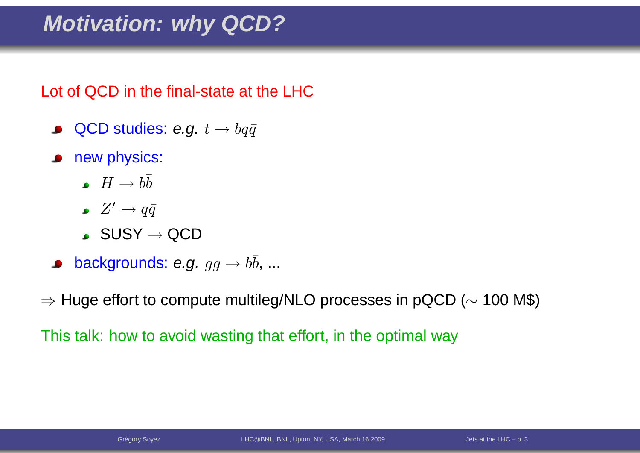### **Motivation: why QCD?**

Lot of QCD in the final-state at the LHC

- QCD studies: e.g.  $t \to b q \bar{q}$  $\bullet$
- new physics:
	- $H\rightarrow b\overline{b}$
	- $Z'\to q\bar{q}$
	- $\mathsf{SUSY}\to\mathsf{QCD}$
- backgrounds: e.g.  $gg\to b\bar{b},...$

 $\Rightarrow$  Huge effort to compute multileg/NLO processes in pQCD ( $\sim$  $\sim$  100 M\$)

This talk: how to avoid wasting that effort, in the optimal way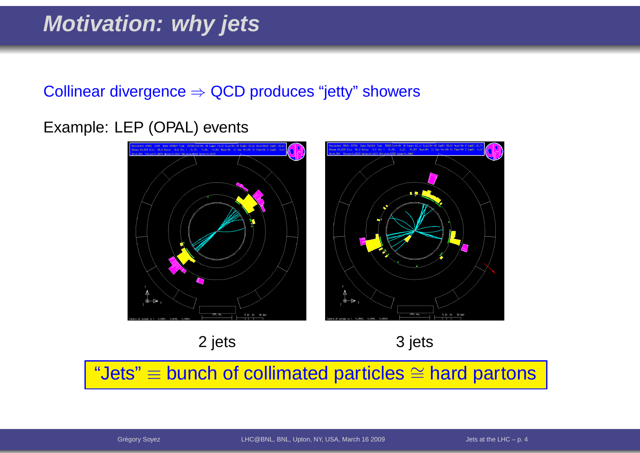### **Motivation: why jets**

# $\textsf{Collinear}\ \textsf{divergence} \Rightarrow \textsf{QCD}\ \textsf{produces}\ \textsf{``jetty''}\ \textsf{showers}$

#### Example: LEP (OPAL) events



2 jets 3 jets

"Jets"≡ bunch of collimated particles ∼= $\cong$  hard partons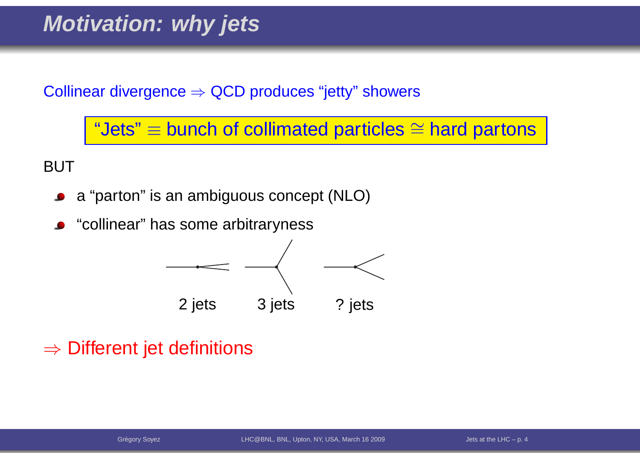#### **Motivation: why jets**

 $\textsf{Collinear}\ \textsf{divergence} \Rightarrow \textsf{QCD}\ \textsf{produces}\ \textsf{``jetty''}\ \textsf{showers}$ 

"Jets"≡ bunch of collimated particles ∼= $\cong$  hard partons

BUT

- <sup>a</sup> "parton" is an ambiguous concept (NLO) $\bullet$
- **•** "collinear" has some arbitraryness



# $\Rightarrow$  Different jet definitions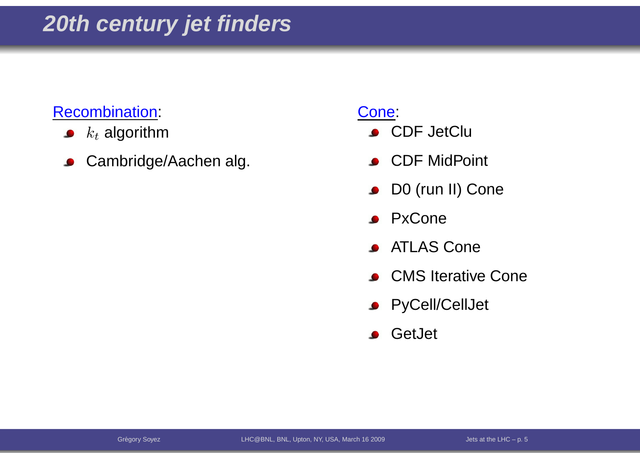#### Recombination:

- $k_t$  algorithm  $\bullet$
- Cambridge/Aachen alg.  $\bullet$

- **CDF JetClu**
- **CDF** MidPoint
- **DO** (run II) Cone
- **•** PxCone
- **ATLAS Cone**
- **CMS** Iterative Cone
- **•** PyCell/CellJet
- **S** GetJet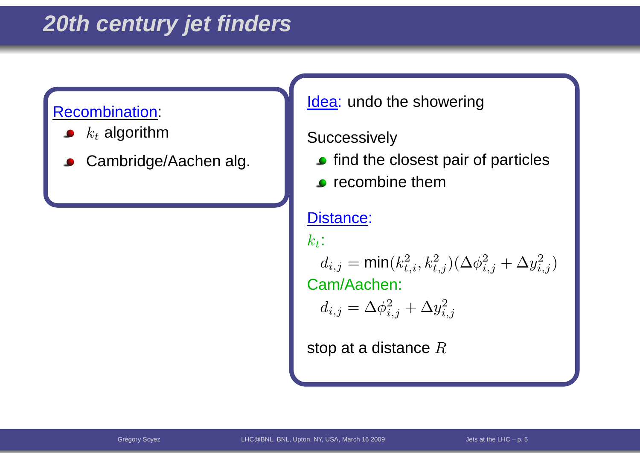#### **20th century jet finders**

#### Recombination:

- $k_t$  algorithm
- Cambridge/Aachen alg.

Cones and the cones of the cones of the cones of the cones of the cones of the cones of the cones of the cones<br>Cones of the cones of the cones of the cones of the cones of the cones of the cones of the cones of the cones <u>ldea</u>: undo the showering

#### $\sqrt{ }$ **Successively**

- $\bullet$  find the closest pair of particles
- $\overline{C}$  (right)  $\bullet$  recombine them

#### Distance:

 $k_t\colon$ 

 $\begin{pmatrix} 1 & 2 \\ 1 & 2 \end{pmatrix}$  $\mathcal{C}^{(c)}$  is  $\mathcal{C}^{(c)}$  is  $\mathcal{C}^{(c)}$ . Cam/Aachen: $d_{i,j} = \mathsf{min}(k_t^2)$  $_{t,i}^2,k_t^2$  $_{t,j}^{2})(\Delta \phi_{i}^{2}% ,\Delta \phi_{i}^{2})\cdot\Delta \phi_{i}^{2}$  $_{i,j}^2+\Delta y_{i,j}^2$  $_{i,j}^{2})$ 

$$
d_{i,j} = \Delta \phi_{i,j}^2 + \Delta y_{i,j}^2
$$

stop at a distance  $R$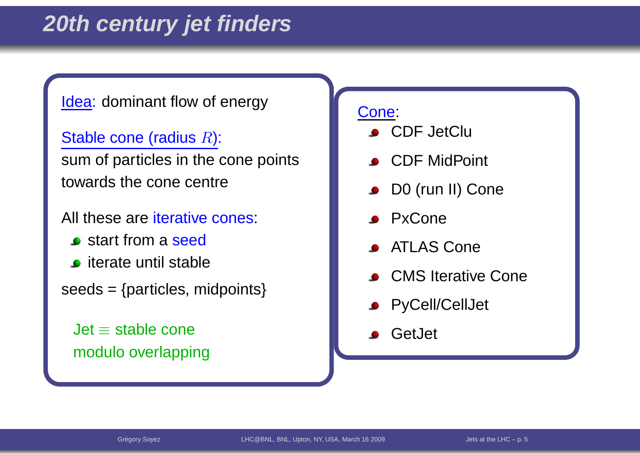#### $\frac{r}{r}$  as  $\frac{r}{r}$  and  $\frac{r}{r}$  and  $\frac{r}{r}$  and  $\frac{r}{r}$  and  $\frac{r}{r}$  and  $\frac{r}{r}$ <u>ldea</u>: dominant flow of energy

Stable cone (radius  $R$ ):

sum of particles in the cone points towards the cone centre

All these are <mark>iterative cones:</mark>

- **s** start from a seed
- **o** iterate until stable
- $seeds = {particles, midpoints}$
- blJet≡ stable cone modulo overlapping

- **CDF JetClu**
- **CDF** MidPoint
- **DO** (run II) Cone
- **PxCone**
- ATLAS Cone
- **CMS** Iterative Cone
- **•** PyCell/CellJet
- **S** GetJet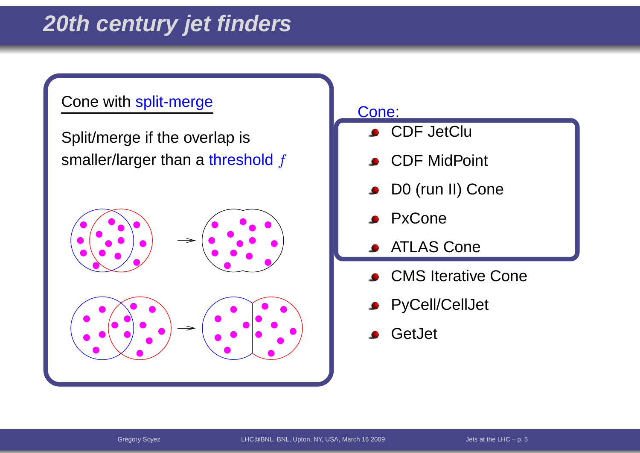### **20th century jet finders**

#### Cone with split-merge

Split/merge if the overlap is smaller/larger than a <mark>threshol</mark>d  $f$ 



- CDF JetClu
- CDF MidPoint
- D0 (run II) Cone $\bullet$
- PxCone
- ATLAS Cone
- CMS Iterative Cone
- **PyCell/CellJet**
- **GetJet**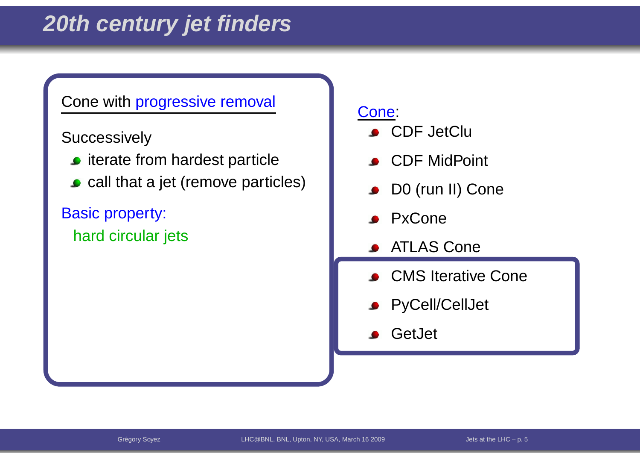### **20th century jet finders**

#### Cone with progressive removal

Successively

- $\bullet$  iterate from hardest particle
- **call that a jet (remove particles)**

Basic property: hard circular jets

- **CDF** JetClu
- **CDF** MidPoint
- D0 (run II) Cone  $\bullet$
- **PxCone**
- ATLAS Cone
- **CMS** Iterative Cone
- **•** PyCell/CellJet
- **S** GetJet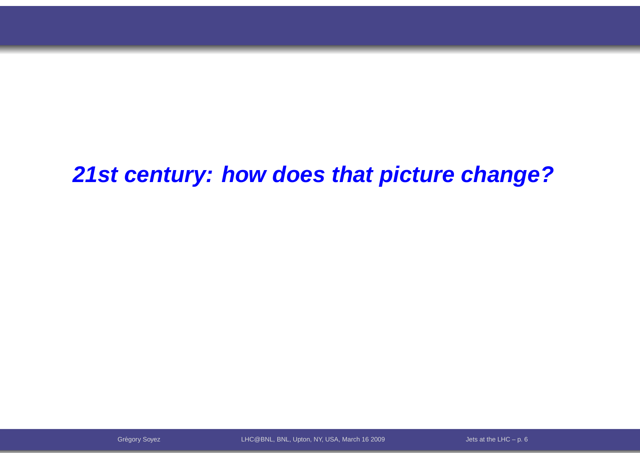**21st century: how does that picture change?**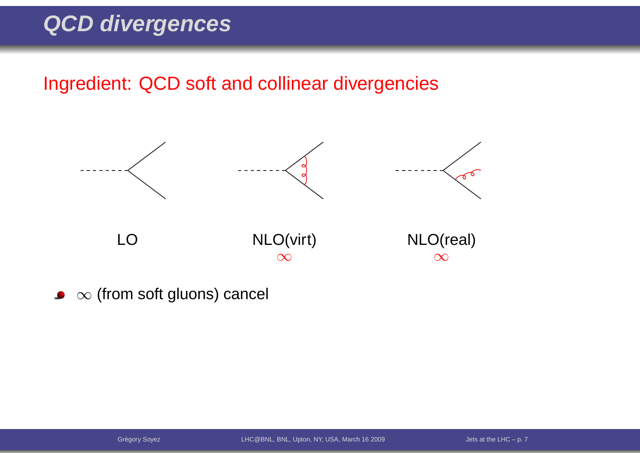Ingredient: QCD soft and collinear divergencies



 $\infty$  (from soft gluons) cancel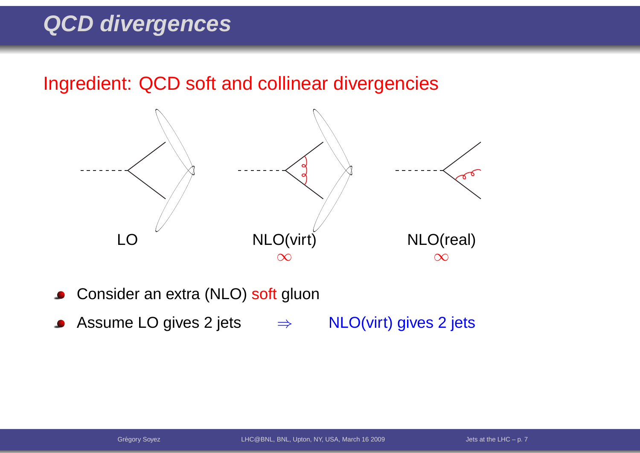Ingredient: QCD soft and collinear divergencies



- Consider an extra (NLO) <mark>soft</mark> gluon  $\bullet$
- Assume LO gives 2 jets  $\Rightarrow$ NLO(virt) gives <sup>2</sup> jets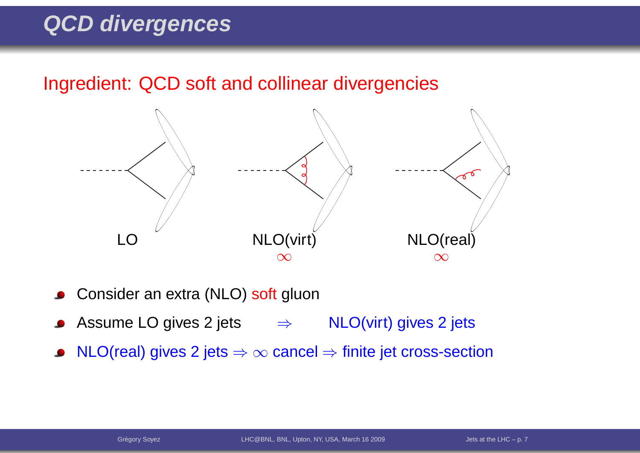Ingredient: QCD soft and collinear divergencies



- Consider an extra (NLO) <mark>soft</mark> gluon
- Assume LO gives 2 jets  $\Rightarrow$  NLO(virt) gives 2 jets
- $\mathsf{NLO}(\mathsf{real})$  gives 2 jets  $\Rightarrow \infty$  cancel  $\Rightarrow$  finite jet cross-section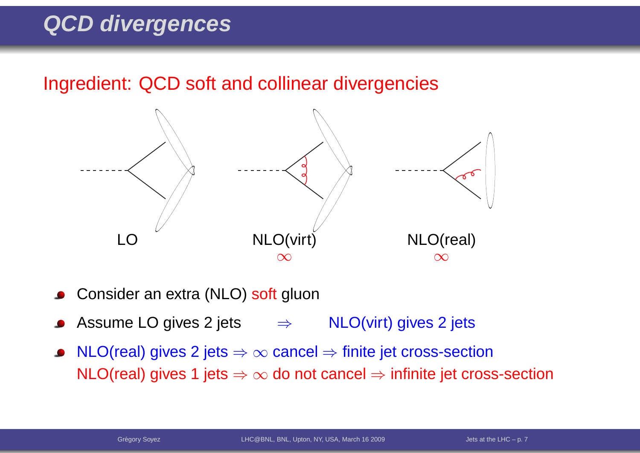Ingredient: QCD soft and collinear divergencies



- Consider an extra (NLO) <mark>soft</mark> gluon
- Assume LO gives 2 jets  $\Rightarrow$  NLO(virt) gives 2 jets
- NLO(real) gives 2 jets ⇒  $\infty$  cancel ⇒ finite jet cross-section<br>NLO(real) gives 4 jets ⇒ se de pet cancel → infinite ist cross  $\mathsf{NLO}(\mathsf{real})$  gives 1 jets  $\Rightarrow \infty$  do not cancel  $\Rightarrow$  infinite jet cross-section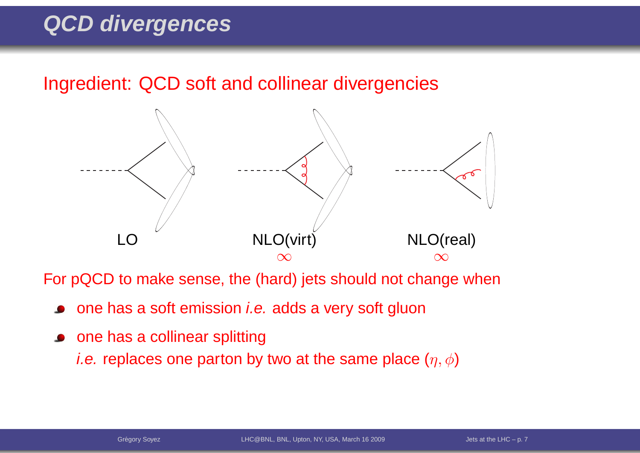Ingredient: QCD soft and collinear divergencies



For pQCD to make sense, the (hard) jets should not change when

- one has a soft emission *i.e.* adds a very soft gluon
- **•** one has a collinear splitting *i.e.* replaces one parton by two at the same place  $(\eta,\phi)$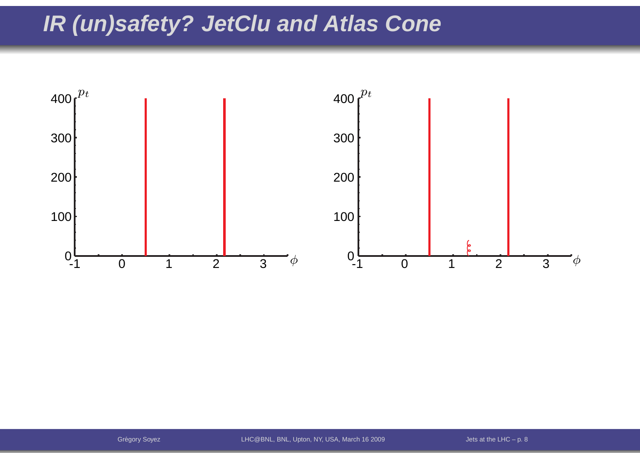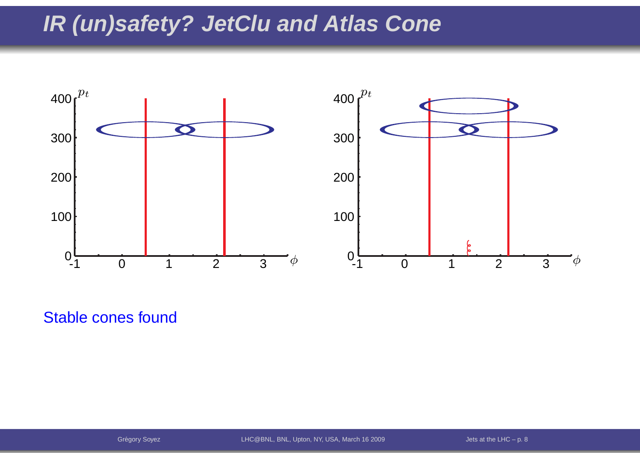

Stable cones found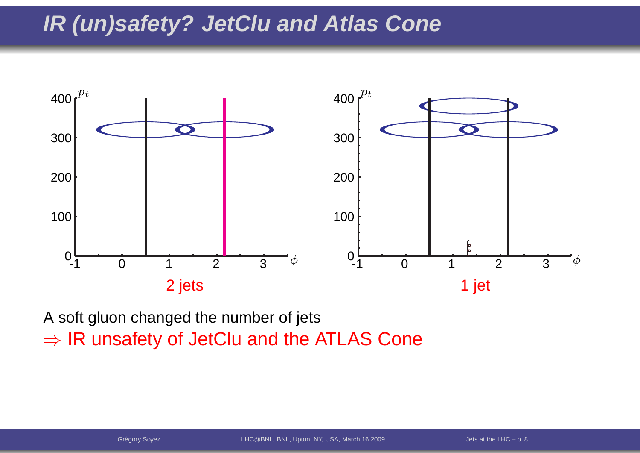

A soft gluon changed the number of jets $\Rightarrow$  IR unsafety of JetClu and the ATLAS Cone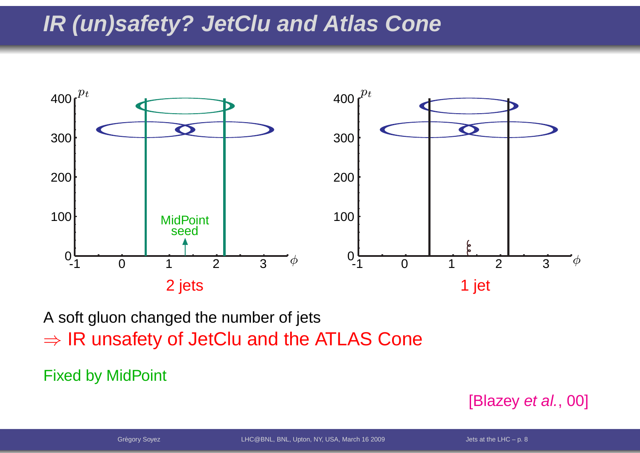

A soft gluon changed the number of jets $\Rightarrow$  IR unsafety of JetClu and the ATLAS Cone

Fixed by MidPoint

[Blazey *et al.*, 00]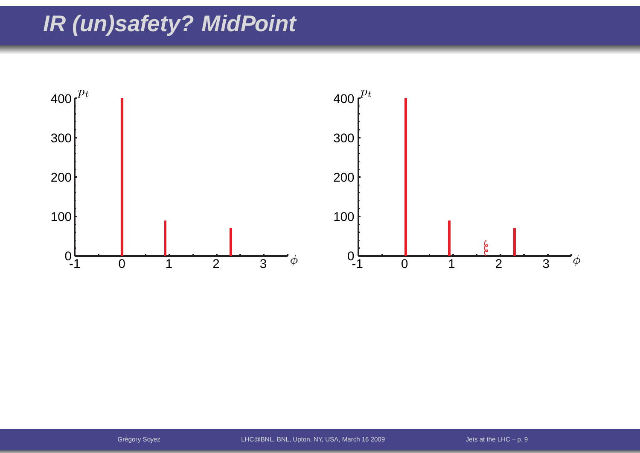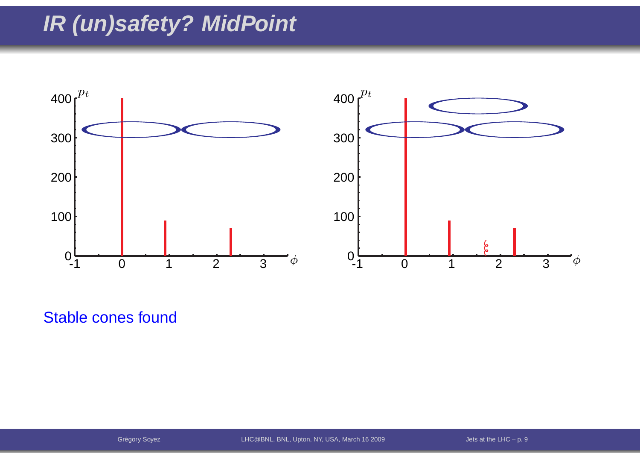

Stable cones found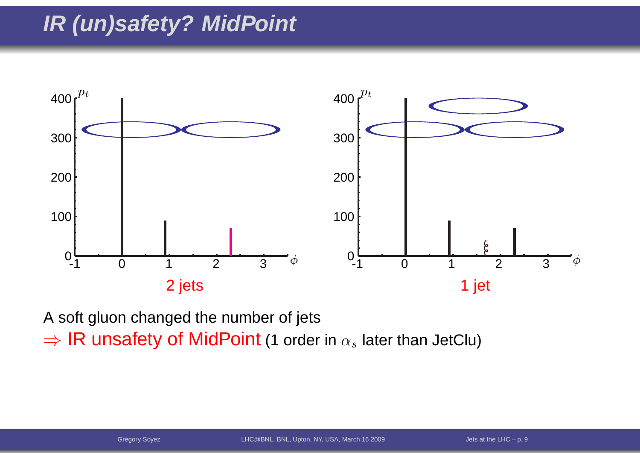

A soft gluon changed the number of jets ⇒ IR unsafety of MidPoint (1 order in  $\alpha_s$  later than JetClu)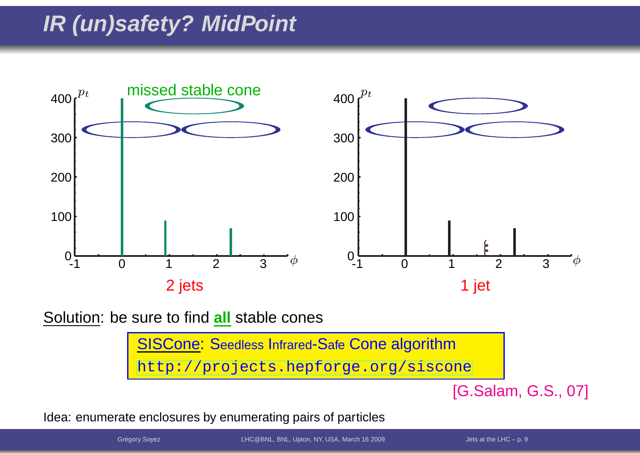

Solution: be sure to find **all** stable cones

<mark>SISCone: S</mark>eedless Infrared-Safe Cone algorithm [http://projects](http://projects.hepforge.org/siscone).[hepforge](http://projects.hepforge.org/siscone).[org/sisc](http://projects.hepforge.org/siscone)one

[G.Salam, G.S., 07]

Idea: enumerate enclosures by enumerating pairs of particles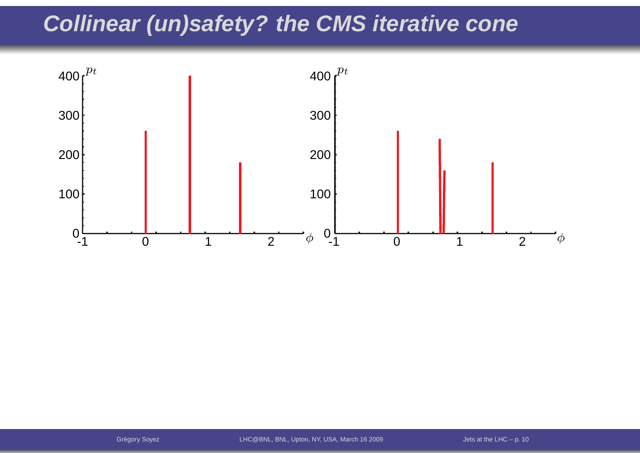### **Collinear (un)safety? the CMS iterative cone**

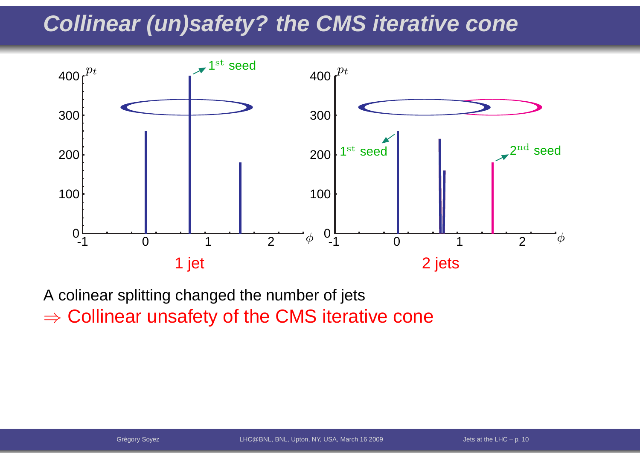### **Collinear (un)safety? the CMS iterative cone**



A colinear splitting changed the number of jets $\Rightarrow$  Collinear unsafety of the CMS iterative cone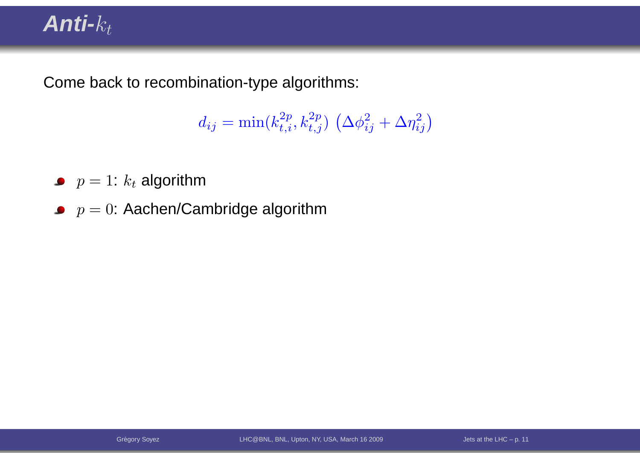### $Anti-$

Come back to recombination-type algorithms:

$$
d_{ij} = \min(k_{t,i}^{2p}, k_{t,j}^{2p}) \left(\Delta \phi_{ij}^2 + \Delta \eta_{ij}^2\right)
$$

- $p=1$ :  $k_t$  algorithm
- $p=0$ : Aachen/Cambridge algorithm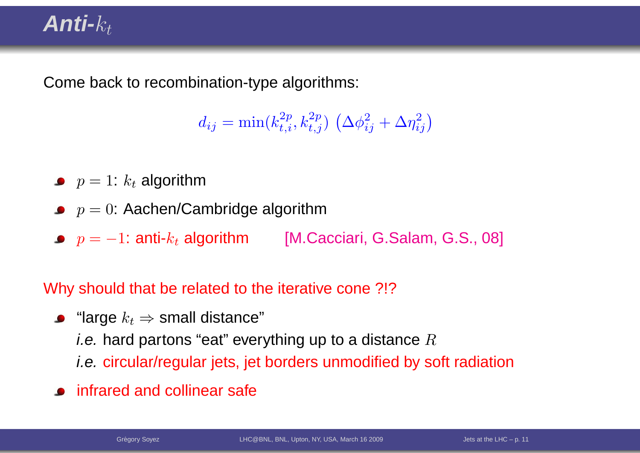### **Anti-**kt

Come back to recombination-type algorithms:

 $d_{ij} = \min(k_{t,i}^{2p}, k_{t,j}^{2p}) \left(\Delta \phi_{ij}^2 + \Delta \eta_{ij}^2\right)$ 

- $p=1$ :  $k_t$  algorithm
- $p=0$ : Aachen/Cambridge algorithm
- $p = -1$ : anti- $k_t$  algorithm [M.Cacciari, G.Salam, G.S., 08]

Why should that be related to the iterative cone ?!?

- "large  $k_t$  ⇒ small distance"<br>*i* e\_berd pertens "eet" ever *i.e.* hard partons "eat" everything up to a distance  $R$ i.e. circular/regular jets, jet borders unmodified by soft radiation
- infrared and collinear safe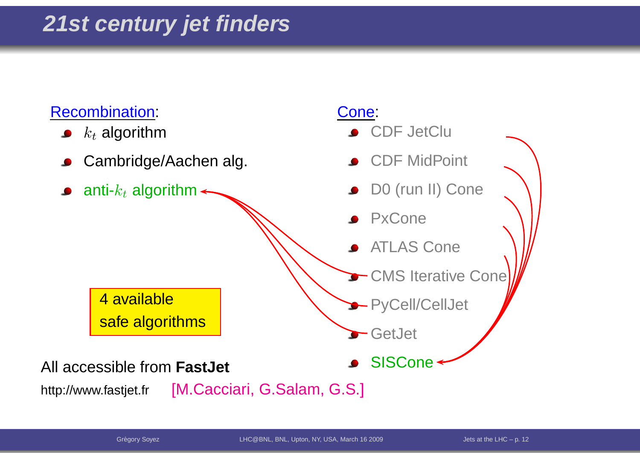#### Recombination:

- $k_t$  algorithm
- Cambridge/Aachen alg.
- anti- $k_t$  algorithm

#### Cone:

- CDF JetClu
- CDF MidPoint
- D0 (run II) Cone
- PxCone
- ATLAS Cone
- CMS Iterative Cone
- PyCell/CellJet

GetJet

**SISCone** 

aAll accessible from **FastJet**

4 available

safe algorithms

http://www.fastjet.fr[M.Cacciari, G.Salam, G.S.]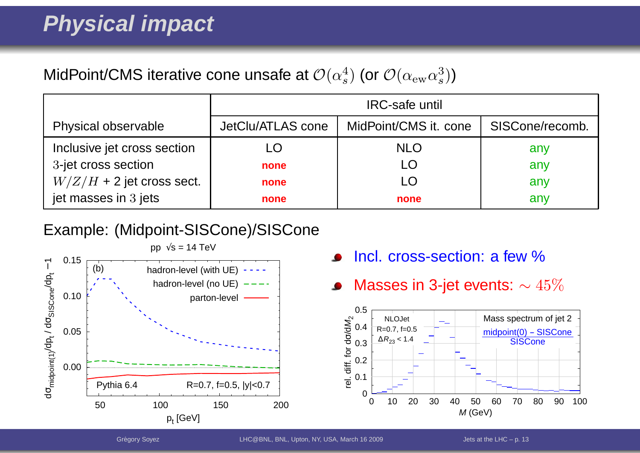#### MidPoint/CMS iterative cone unsafe at  ${\cal O}(\alpha_s^4)$  (or  ${\cal O}(\alpha_{\rm ew} \alpha_s^3)$ )

|                             |                   | <b>IRC-safe until</b> |                 |
|-----------------------------|-------------------|-----------------------|-----------------|
| Physical observable         | JetClu/ATLAS cone | MidPoint/CMS it. cone | SISCone/recomb. |
| Inclusive jet cross section | LO                | <b>NLO</b>            | any             |
| 3-jet cross section         | none              | LÖ                    | any             |
| $W/Z/H$ + 2 jet cross sect. | none              |                       | any             |
| jet masses in 3 jets        | none              | none                  | any             |

#### Example: (Midpoint-SISCone)/SISCone



- Incl. cross-section: <sup>a</sup> few %
- Masses in 3-jet events:  $\sim 45\%$  $\bullet$

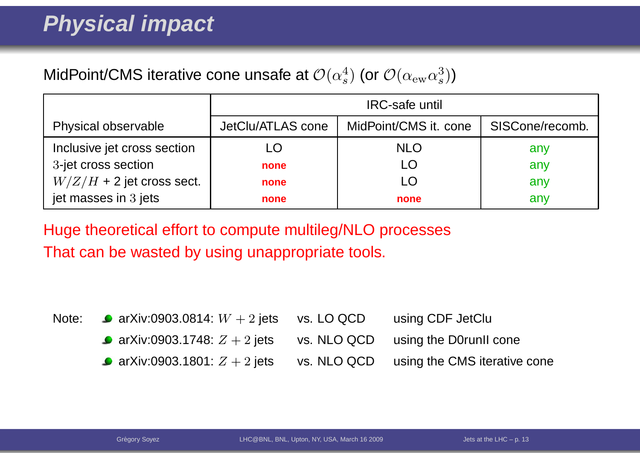#### MidPoint/CMS iterative cone unsafe at  ${\cal O}(\alpha_s^4)$  (or  ${\cal O}(\alpha_{\rm ew} \alpha_s^3)$ )

|                             |                   | <b>IRC-safe until</b> |                 |
|-----------------------------|-------------------|-----------------------|-----------------|
| Physical observable         | JetClu/ATLAS cone | MidPoint/CMS it. cone | SISCone/recomb. |
| Inclusive jet cross section | LO                | <b>NLO</b>            | any             |
| 3-jet cross section         | none              |                       | any             |
| $W/Z/H$ + 2 jet cross sect. | none              |                       | any             |
| jet masses in 3 jets        | none              | none                  | any             |

Huge theoretical effort to compute multileg/NLO processesThat can be wasted by using unappropriate tools.

|                                 |             | using CDF JetClu                                                                                                               |
|---------------------------------|-------------|--------------------------------------------------------------------------------------------------------------------------------|
|                                 |             |                                                                                                                                |
| • arXiv:0903.1801: $Z + 2$ jets | vs. NLO QCD | using the CMS iterative cone                                                                                                   |
|                                 |             | Note: $\bullet$ arXiv:0903.0814: $W + 2$ jets vs. LO QCD<br>• arXiv:0903.1748: $Z + 2$ jets vs. NLO QCD using the D0runII cone |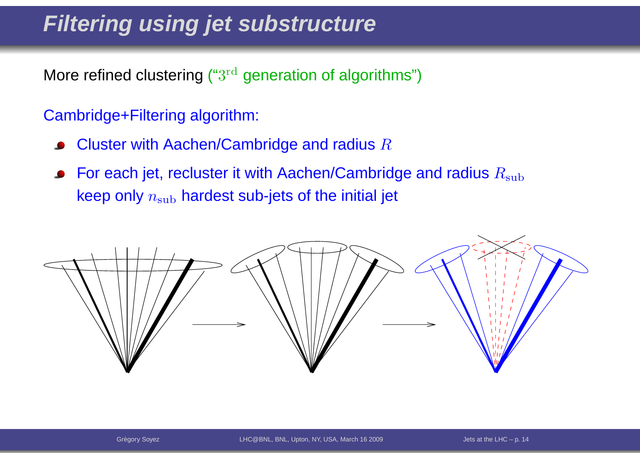### **Filtering using jet substructure**

More refined clustering (" $3^{\rm rd}$  generation of algorithms")

#### Cambridge+Filtering algorithm:

- Cluster with Aachen/Cambridge and radius  $R$  $\bullet$
- For each jet, recluster it with Aachen/Cambridge and radius  $R_{\rm sub}$  $\bullet$ keep only  $n_{\rm sub}$  hardest sub-jets of the initial jet

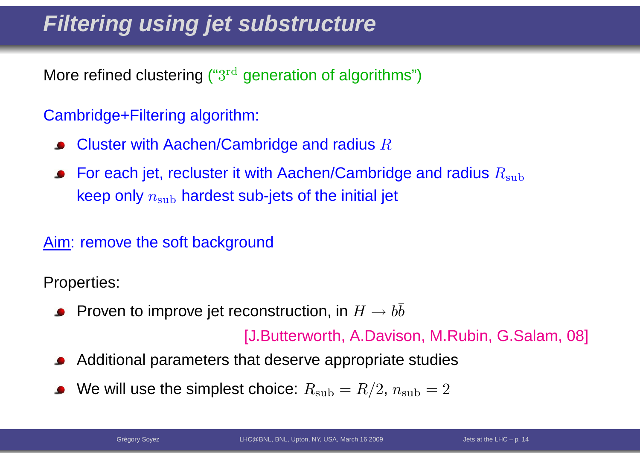## **Filtering using jet substructure**

More refined clustering (" $3^{\rm rd}$  generation of algorithms")

#### Cambridge+Filtering algorithm:

- Cluster with Aachen/Cambridge and radius  $R$
- For each jet, recluster it with Aachen/Cambridge and radius  $R_{\rm sub}$ keep only  $n_{\rm sub}$  hardest sub-jets of the initial jet

#### Aim: remove the soft background

Properties:

Proven to improve jet reconstruction, in  $H\to b\bar b$ 

[J.Butterworth, A.Davison, M.Rubin, G.Salam, 08]

- Additional parameters that deserve appropriate studies
- We will use the simplest choice:  $R_{\rm sub} = R/2$ ,  $n_{\rm sub} = 2$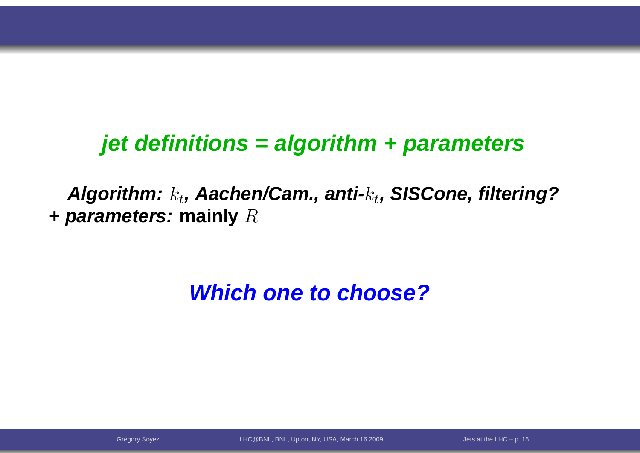### **jet definitions <sup>=</sup> algorithm <sup>+</sup> parameters**

**Algorithm:**k<sup>t</sup>**, Aachen/Cam., anti-**k<sup>t</sup>**, SISCone, filtering?+ parameters: mainly**  $R$ 

### **Which one to choose?**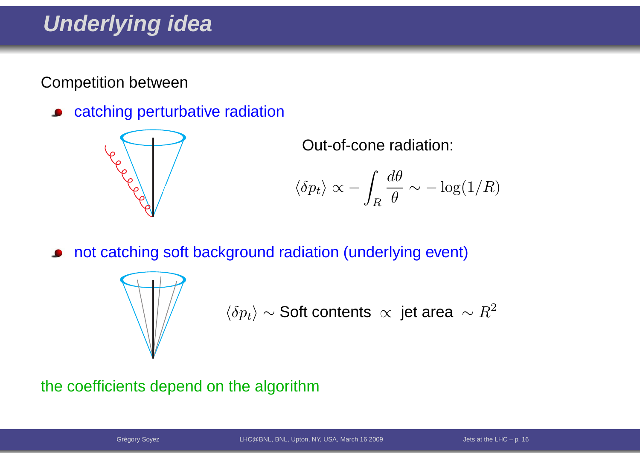### **Underlying idea**

Competition between

catching perturbative radiation $\bullet$ 



Out-of-cone radiation:

$$
\langle \delta p_t \rangle \propto -\int_R \frac{d\theta}{\theta} \sim -\log(1/R)
$$

not catching soft background radiation (underlying event)



$$
\langle \delta p_t \rangle \sim \text{Soft contents } \propto \text{ jet area } \sim R^2
$$

#### the coefficients depend on the algorithm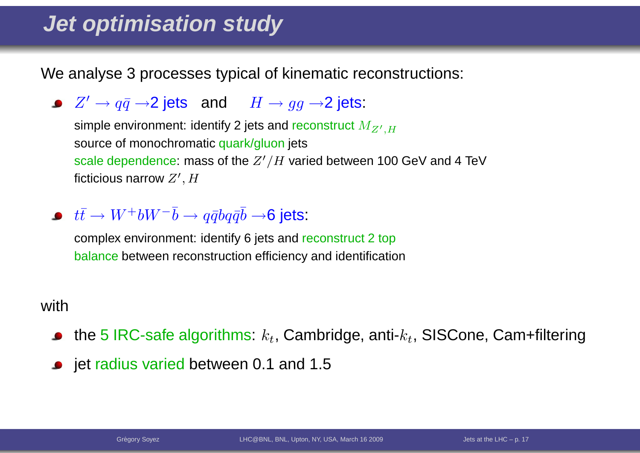### **Jet optimisation study**

We analyse 3 processes typical of kinematic reconstructions:

 $Z'\to q\bar{q}\to$ 2 jets and  $H\to gg\to$ 2 jets:

simple environment: identify 2 jets and reconstruct  $M_{Z^{\prime},H}$ source of monochromatic <mark>q</mark>uark/gluon jets scale dependence: mass of the  $Z^\prime/H$  varied between 100 GeV and 4 TeV<br>5. ... ficticious narrow  $Z^\prime, H$ 

 $t\bar{t}\to W^+bW^-\bar{b}\to q\bar{q}b q\bar{q}\bar{b}\to$ 6 jets:

 complex environment: identify 6 jets and reconstruct <sup>2</sup> topbalance between reconstruction efficiency and identification

#### with

- the 5 IRC-safe algorithms:  $k_t$ , Cambridge, anti- $k_t$ , SISCone, Cam+filtering
- jet radius varied between 0.1 and 1.5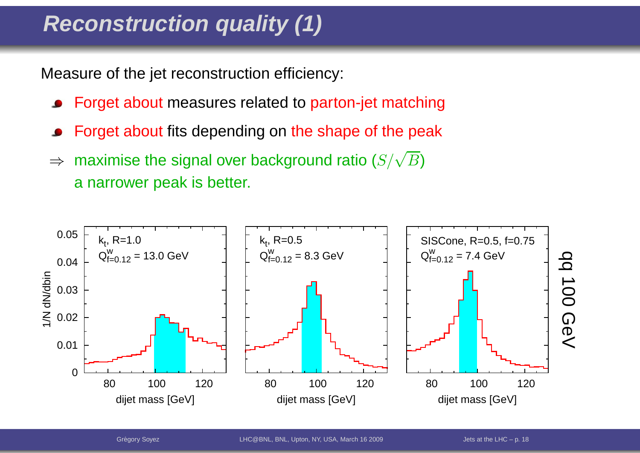## **Reconstruction quality (1)**

Measure of the jet reconstruction efficiency:

- Forget about measures related to parton-jet matching
- Forget about fits depending on the shape of the peak
- ⇒ $\Rightarrow$  maximise the signal over background ratio  $(S/\sqrt{B})$ <sup>a</sup> narrower peak is better.

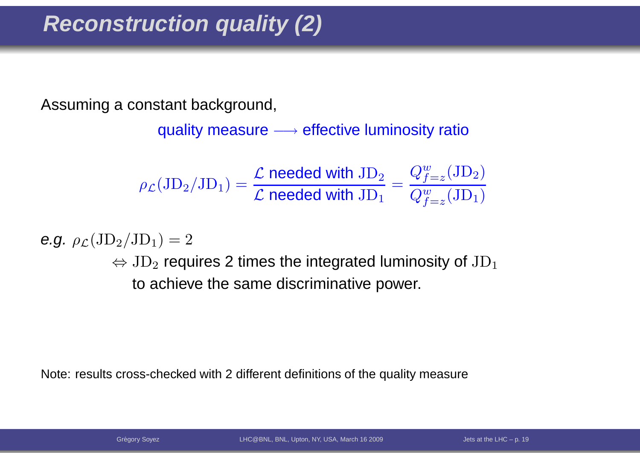## **Reconstruction quality (2)**

Assuming <sup>a</sup> constant background,

quality measure  $\longrightarrow$  effective luminosity ratio

$$
\rho_{\mathcal{L}}(JD_2/JD_1) = \frac{\mathcal{L} \text{ needed with JD}_2}{\mathcal{L} \text{ needed with JD}_1} = \frac{Q_{f=z}^w(JD_2)}{Q_{f=z}^w(JD_1)}
$$

e.g.  $\rho_{\mathcal{L}}(\mathrm{JD}_2/\mathrm{JD}_1) = 2$ 

 $\Leftrightarrow$   $\text{JD}_2$  $_{\rm 2}$  requires 2 times the integrated luminosity of  ${\rm JD}$ 1to achieve the same discriminative power.

Note: results cross-checked with <sup>2</sup> different definitions of the quality measure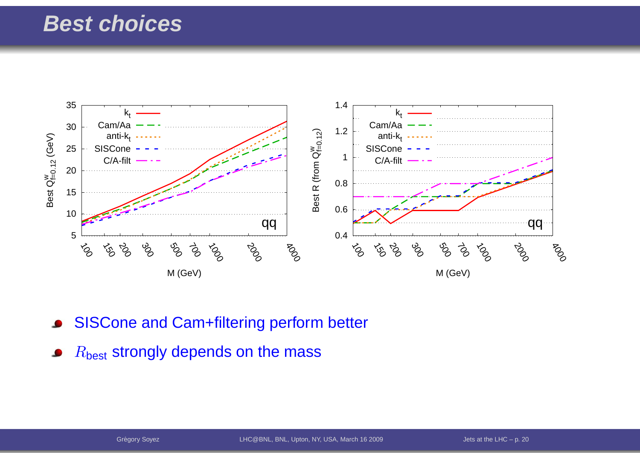#### **Best choices**



- SISCone and Cam+filtering perform better
- $R_{\mathsf{best}}$  strongly depends on the mass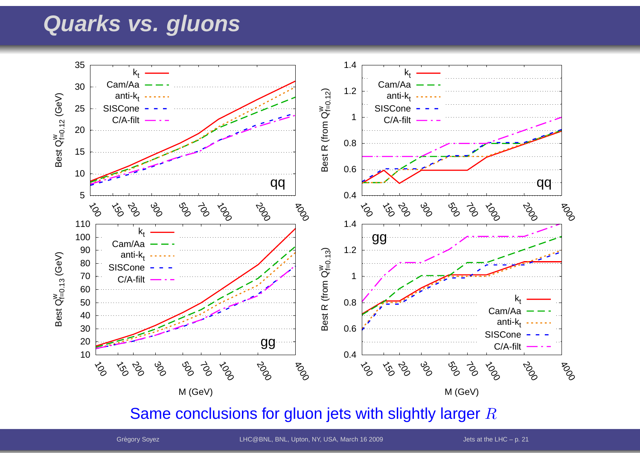#### **Quarks vs. gluons**



Same conclusions for gluon jets with slightly larger  $R$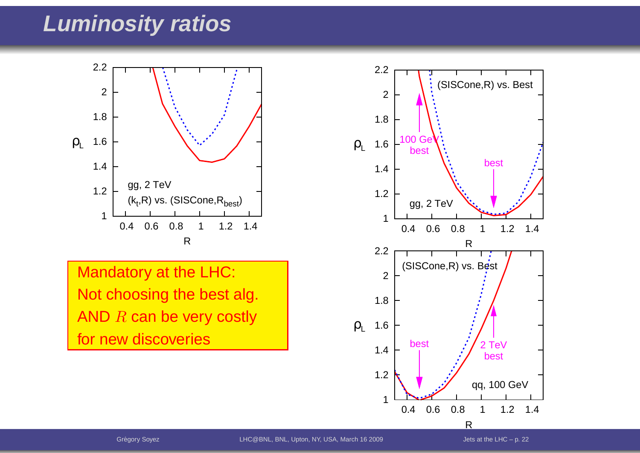#### **Luminosity ratios**



Mandatory at the LHC: Not choosing the best alg. AND  $R$  can be very costly for new discoveries

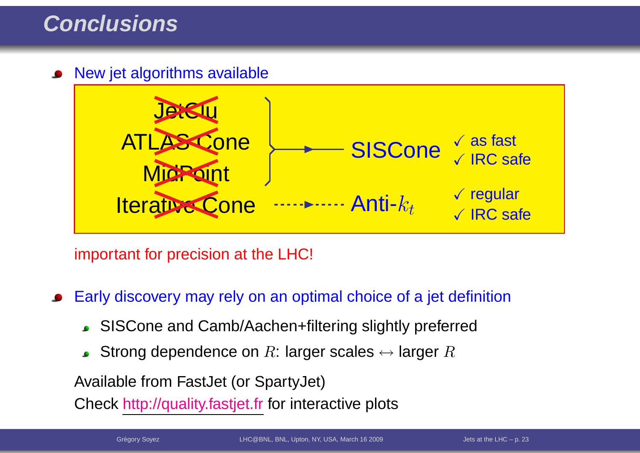#### **Conclusions**

New jet algorithms available



important for precision at the LHC!

Early discovery may rely on an optimal choice of <sup>a</sup> jet definition

- SISCone and Camb/Aachen+filtering slightly preferred
- Strong dependence on  $R$ : larger scales  $\leftrightarrow$  larger  $R$

Available from FastJet (or SpartyJet)

Check <u>http://quality.fastjet.fr</u> for interactive plots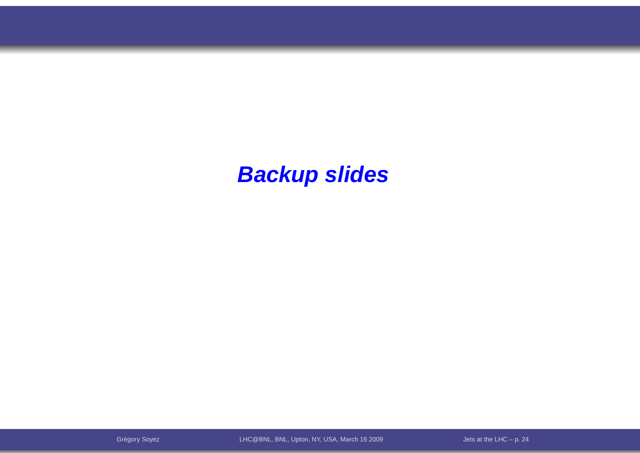#### **Backup slides**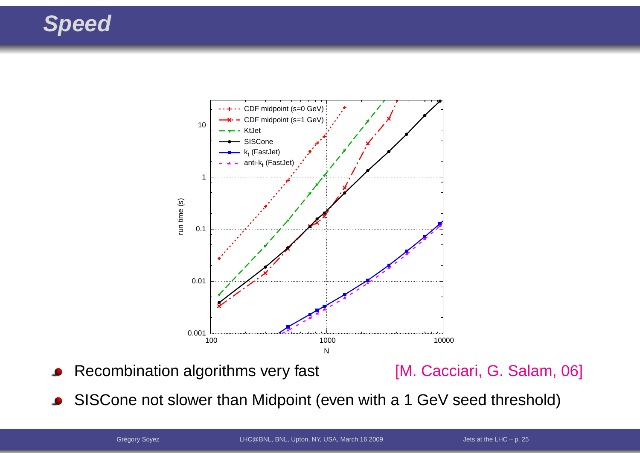### **Speed**



Recombination algorithms very fast [M. Cacciari, G. Salam, 06]

SISCone not slower than Midpoint (even with <sup>a</sup> <sup>1</sup> GeV seed threshold) $\bullet$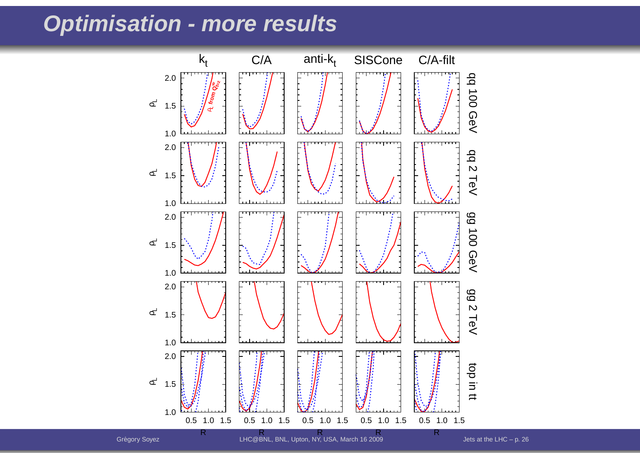#### **Optimisation - more results**

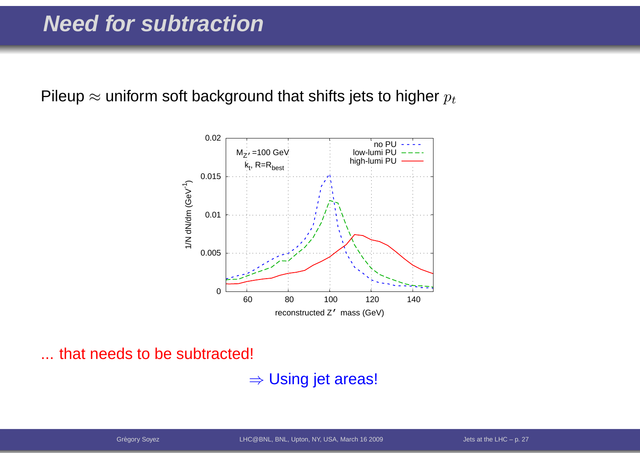Pileup  $\approx$  uniform soft background that shifts jets to higher  $p_t$ 



... that needs to be subtracted!

 $\Rightarrow$  Using jet areas!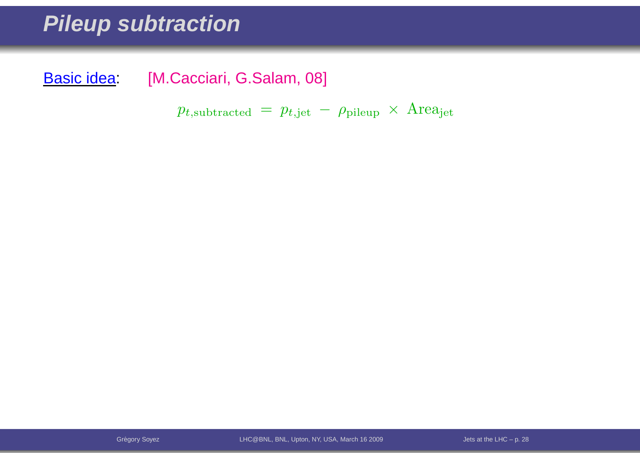#### **Pileup subtraction**

Basic idea: [M.Cacciari, G.Salam, 08]

 $p_{t,\text{subtracted}} \, = \, p_{t,\text{jet}} \, - \, \rho_{\text{pileup}} \, \times \, \text{Area}_{\text{jet}}$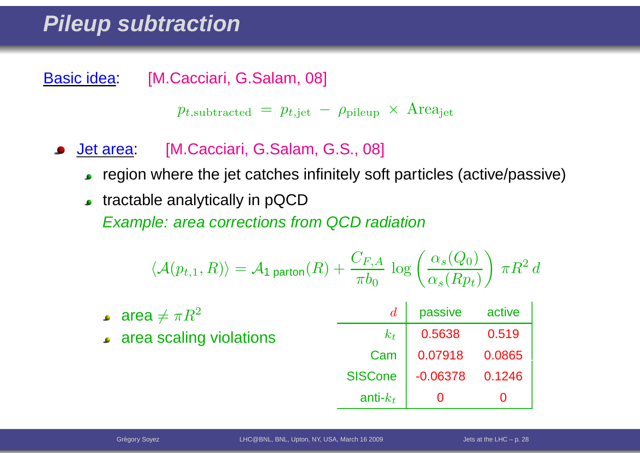#### **Pileup subtraction**

Basic idea: [M.Cacciari, G.Salam, 08]

 $p_{t,\text{subtracted}} \, = \, p_{t,\text{jet}} \, - \, \rho_{\text{pileup}} \, \times \, \text{Area}_{\text{jet}}$ 

- Jet area: [M.Cacciari, G.Salam, G.S., 08]
	- region where the jet catches infinitely soft particles (active/passive)
	- **tractable analytically in pQCD**

Example: area corrections from QCD radiation

$$
\langle \mathcal{A}(p_{t,1}, R) \rangle = \mathcal{A}_1 \text{ parton}(R) + \frac{C_{F,A}}{\pi b_0} \log \left( \frac{\alpha_s(Q_0)}{\alpha_s(Rp_t)} \right) \pi R^2 d
$$

| • area $\neq \pi R^2$   |             | passive                                                          | active |
|-------------------------|-------------|------------------------------------------------------------------|--------|
| area scaling violations | $k_t$       | 0.5638 0.519                                                     |        |
|                         | Cam         | $\begin{array}{ c c c c c } \hline 0.07918 & 0.0865 \end{array}$ |        |
|                         |             | SISCone   -0.06378 0.1246                                        |        |
|                         | anti- $k_t$ | $\bf{0}$                                                         |        |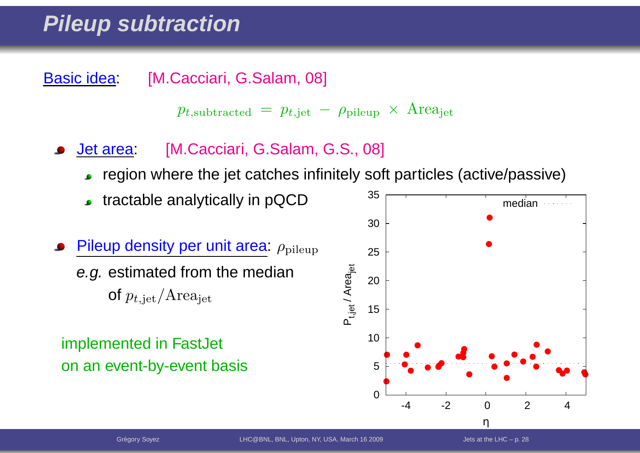### **Pileup subtraction**

Basic idea: [M.Cacciari, G.Salam, 08]

$$
p_{t,subtracted} = p_{t, jet} - \rho_{pileup} \times \text{Area}_{jet}
$$

- Jet area: [M.Cacciari, G.Salam, G.S., 08]
	- region where the jet catches infinitely soft particles (active/passive)
	- tractable analytically in pQCD
- Pileup density per unit area:  $\rho_{\text{pileup}}$ *e.g.* estimated from the median of  $p_{t,\text{jet}}/Area_{\text{jet}}$

#### implemented in FastJet on an event-by-event basis

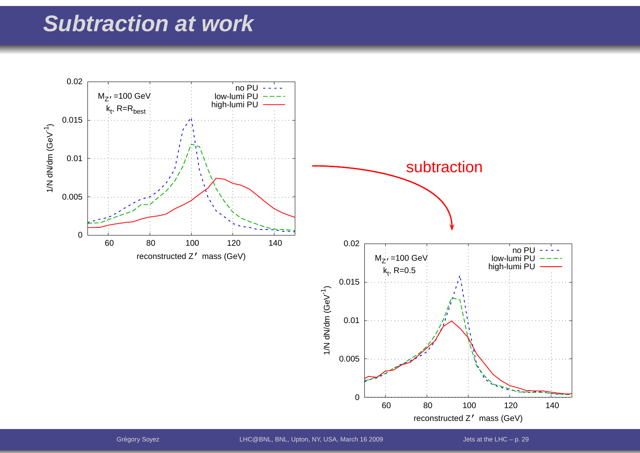#### **Subtraction at work**